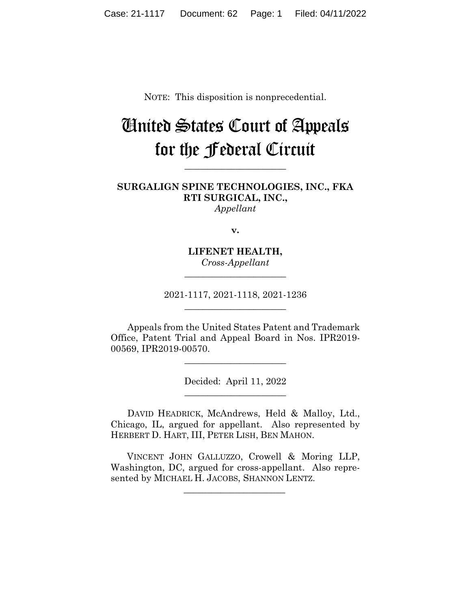NOTE: This disposition is nonprecedential.

# United States Court of Appeals for the Federal Circuit

**\_\_\_\_\_\_\_\_\_\_\_\_\_\_\_\_\_\_\_\_\_\_** 

**SURGALIGN SPINE TECHNOLOGIES, INC., FKA RTI SURGICAL, INC.,** *Appellant*

**v.**

**LIFENET HEALTH,** *Cross-Appellant* **\_\_\_\_\_\_\_\_\_\_\_\_\_\_\_\_\_\_\_\_\_\_** 

2021-1117, 2021-1118, 2021-1236 **\_\_\_\_\_\_\_\_\_\_\_\_\_\_\_\_\_\_\_\_\_\_** 

Appeals from the United States Patent and Trademark Office, Patent Trial and Appeal Board in Nos. IPR2019- 00569, IPR2019-00570.

> Decided: April 11, 2022 \_\_\_\_\_\_\_\_\_\_\_\_\_\_\_\_\_\_\_\_\_\_

\_\_\_\_\_\_\_\_\_\_\_\_\_\_\_\_\_\_\_\_\_\_

DAVID HEADRICK, McAndrews, Held & Malloy, Ltd., Chicago, IL, argued for appellant. Also represented by HERBERT D. HART, III, PETER LISH, BEN MAHON.

 VINCENT JOHN GALLUZZO, Crowell & Moring LLP, Washington, DC, argued for cross-appellant. Also represented by MICHAEL H. JACOBS, SHANNON LENTZ.

 $\mathcal{L}_\text{max}$  and  $\mathcal{L}_\text{max}$  and  $\mathcal{L}_\text{max}$  and  $\mathcal{L}_\text{max}$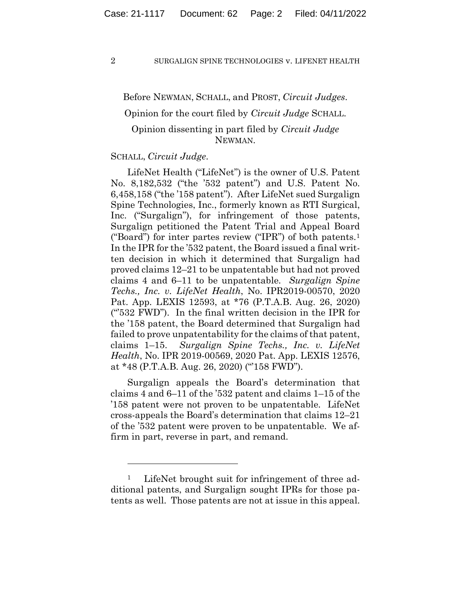Before NEWMAN, SCHALL, and PROST, *Circuit Judges*.

Opinion for the court filed by *Circuit Judge* SCHALL.

# Opinion dissenting in part filed by *Circuit Judge* NEWMAN.

## SCHALL, *Circuit Judge*.

LifeNet Health ("LifeNet") is the owner of U.S. Patent No. 8,182,532 ("the '532 patent") and U.S. Patent No. 6,458,158 ("the '158 patent"). After LifeNet sued Surgalign Spine Technologies, Inc., formerly known as RTI Surgical, Inc. ("Surgalign"), for infringement of those patents, Surgalign petitioned the Patent Trial and Appeal Board ("Board") for inter partes review ("IPR") of both patents.1 In the IPR for the '532 patent, the Board issued a final written decision in which it determined that Surgalign had proved claims 12–21 to be unpatentable but had not proved claims 4 and 6–11 to be unpatentable. *Surgalign Spine Techs., Inc. v. LifeNet Health*, No. IPR2019-00570, 2020 Pat. App. LEXIS 12593, at \*76 (P.T.A.B. Aug. 26, 2020) ("'532 FWD"). In the final written decision in the IPR for the '158 patent, the Board determined that Surgalign had failed to prove unpatentability for the claims of that patent, claims 1–15. *Surgalign Spine Techs., Inc. v. LifeNet Health*, No. IPR 2019-00569, 2020 Pat. App. LEXIS 12576, at \*48 (P.T.A.B. Aug. 26, 2020) ("'158 FWD").

Surgalign appeals the Board's determination that claims 4 and 6–11 of the '532 patent and claims 1–15 of the '158 patent were not proven to be unpatentable. LifeNet cross-appeals the Board's determination that claims 12–21 of the '532 patent were proven to be unpatentable. We affirm in part, reverse in part, and remand.

<sup>&</sup>lt;sup>1</sup> LifeNet brought suit for infringement of three additional patents, and Surgalign sought IPRs for those patents as well. Those patents are not at issue in this appeal.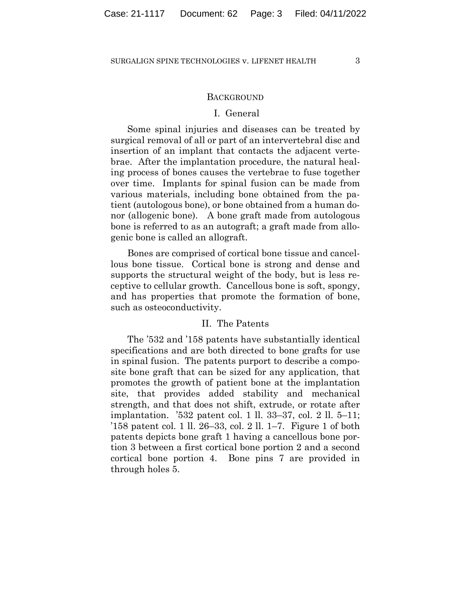## **BACKGROUND**

## I. General

Some spinal injuries and diseases can be treated by surgical removal of all or part of an intervertebral disc and insertion of an implant that contacts the adjacent vertebrae. After the implantation procedure, the natural healing process of bones causes the vertebrae to fuse together over time. Implants for spinal fusion can be made from various materials, including bone obtained from the patient (autologous bone), or bone obtained from a human donor (allogenic bone). A bone graft made from autologous bone is referred to as an autograft; a graft made from allogenic bone is called an allograft.

Bones are comprised of cortical bone tissue and cancellous bone tissue. Cortical bone is strong and dense and supports the structural weight of the body, but is less receptive to cellular growth. Cancellous bone is soft, spongy, and has properties that promote the formation of bone, such as osteoconductivity.

## II. The Patents

The '532 and '158 patents have substantially identical specifications and are both directed to bone grafts for use in spinal fusion. The patents purport to describe a composite bone graft that can be sized for any application, that promotes the growth of patient bone at the implantation site, that provides added stability and mechanical strength, and that does not shift, extrude, or rotate after implantation. '532 patent col. 1 ll. 33–37, col. 2 ll. 5–11; '158 patent col. 1 ll. 26–33, col. 2 ll. 1–7. Figure 1 of both patents depicts bone graft 1 having a cancellous bone portion 3 between a first cortical bone portion 2 and a second cortical bone portion 4. Bone pins 7 are provided in through holes 5.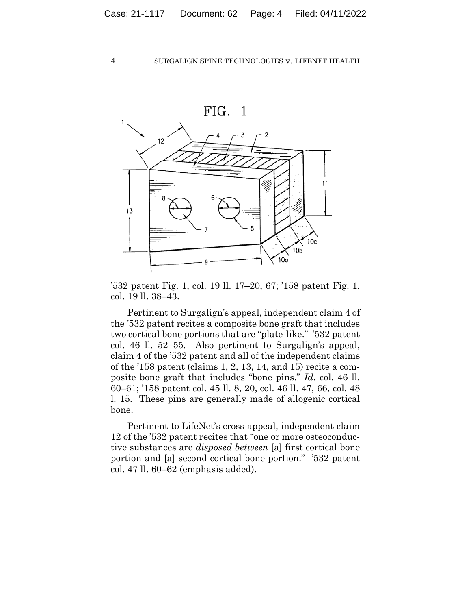

'532 patent Fig. 1, col. 19 ll. 17–20, 67; '158 patent Fig. 1, col. 19 ll. 38–43.

Pertinent to Surgalign's appeal, independent claim 4 of the '532 patent recites a composite bone graft that includes two cortical bone portions that are "plate-like." '532 patent col. 46 ll. 52–55. Also pertinent to Surgalign's appeal, claim 4 of the '532 patent and all of the independent claims of the '158 patent (claims 1, 2, 13, 14, and 15) recite a composite bone graft that includes "bone pins." *Id.* col. 46 ll. 60–61; '158 patent col. 45 ll. 8, 20, col. 46 ll. 47, 66, col. 48 l. 15. These pins are generally made of allogenic cortical bone.

Pertinent to LifeNet's cross-appeal, independent claim 12 of the '532 patent recites that "one or more osteoconductive substances are *disposed between* [a] first cortical bone portion and [a] second cortical bone portion." '532 patent col. 47 ll. 60–62 (emphasis added).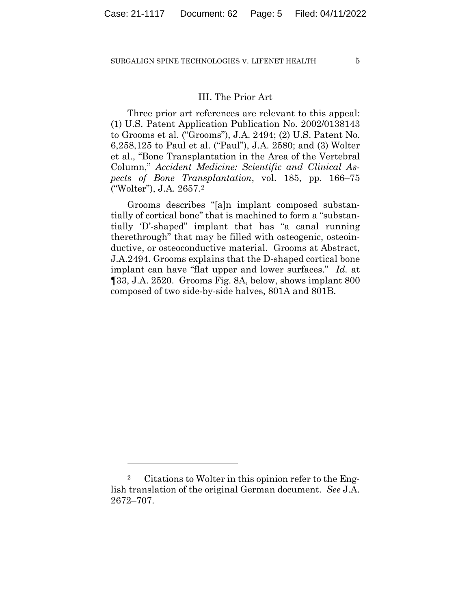# III. The Prior Art

Three prior art references are relevant to this appeal: (1) U.S. Patent Application Publication No. 2002/0138143 to Grooms et al. ("Grooms"), J.A. 2494; (2) U.S. Patent No. 6,258,125 to Paul et al. ("Paul"), J.A. 2580; and (3) Wolter et al., "Bone Transplantation in the Area of the Vertebral Column," *Accident Medicine: Scientific and Clinical Aspects of Bone Transplantation*, vol. 185, pp. 166–75 ("Wolter"), J.A. 2657.2

Grooms describes "[a]n implant composed substantially of cortical bone" that is machined to form a "substantially 'D'-shaped" implant that has "a canal running therethrough" that may be filled with osteogenic, osteoinductive, or osteoconductive material. Grooms at Abstract, J.A.2494. Grooms explains that the D-shaped cortical bone implant can have "flat upper and lower surfaces." *Id.* at ¶33, J.A. 2520. Grooms Fig. 8A, below, shows implant 800 composed of two side-by-side halves, 801A and 801B.

<sup>2</sup> Citations to Wolter in this opinion refer to the English translation of the original German document. *See* J.A. 2672–707.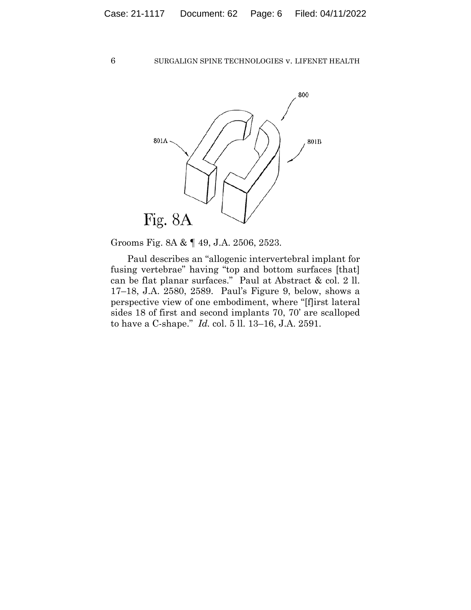

Grooms Fig. 8A & ¶ 49, J.A. 2506, 2523.

Paul describes an "allogenic intervertebral implant for fusing vertebrae" having "top and bottom surfaces [that] can be flat planar surfaces." Paul at Abstract & col. 2 ll. 17–18, J.A. 2580, 2589. Paul's Figure 9, below, shows a perspective view of one embodiment, where "[f]irst lateral sides 18 of first and second implants 70, 70' are scalloped to have a C-shape." *Id.* col. 5 ll. 13–16, J.A. 2591.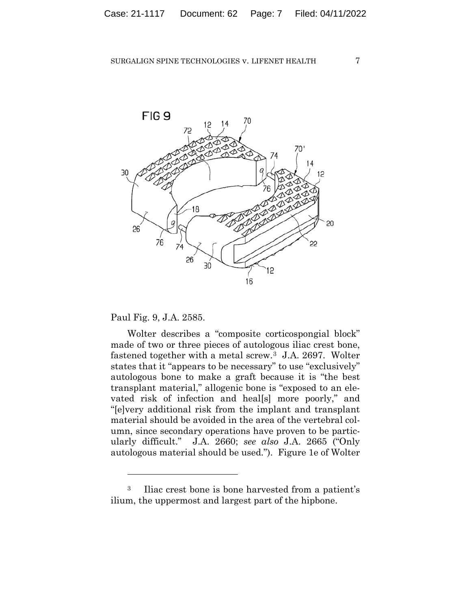

16

Paul Fig. 9, J.A. 2585.

Wolter describes a "composite corticospongial block" made of two or three pieces of autologous iliac crest bone, fastened together with a metal screw.3 J.A. 2697. Wolter states that it "appears to be necessary" to use "exclusively" autologous bone to make a graft because it is "the best transplant material," allogenic bone is "exposed to an elevated risk of infection and heal[s] more poorly," and "[e]very additional risk from the implant and transplant material should be avoided in the area of the vertebral column, since secondary operations have proven to be particularly difficult." J.A. 2660; *see also* J.A. 2665 ("Only autologous material should be used."). Figure 1e of Wolter

<sup>3</sup> Iliac crest bone is bone harvested from a patient's ilium, the uppermost and largest part of the hipbone.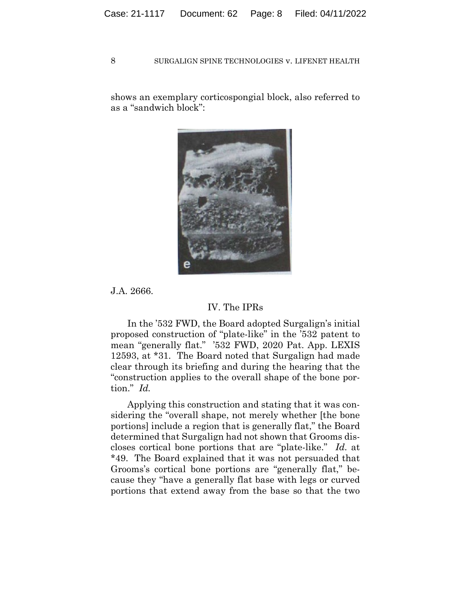shows an exemplary corticospongial block, also referred to as a "sandwich block":



J.A. 2666.

# IV. The IPRs

In the '532 FWD, the Board adopted Surgalign's initial proposed construction of "plate-like" in the '532 patent to mean "generally flat." '532 FWD, 2020 Pat. App. LEXIS 12593, at \*31. The Board noted that Surgalign had made clear through its briefing and during the hearing that the "construction applies to the overall shape of the bone portion." *Id.*

Applying this construction and stating that it was considering the "overall shape, not merely whether [the bone portions] include a region that is generally flat," the Board determined that Surgalign had not shown that Grooms discloses cortical bone portions that are "plate-like." *Id.* at \*49. The Board explained that it was not persuaded that Grooms's cortical bone portions are "generally flat," because they "have a generally flat base with legs or curved portions that extend away from the base so that the two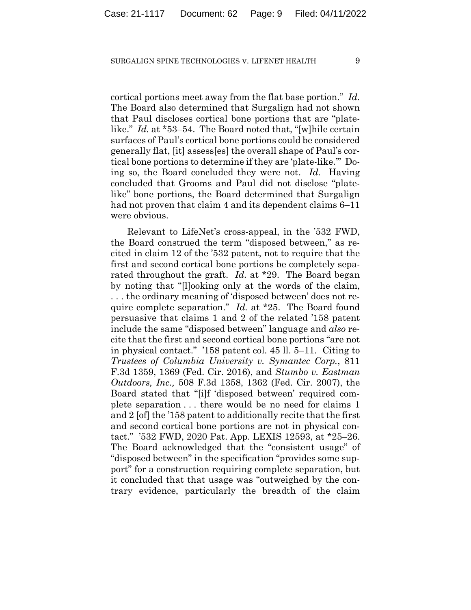cortical portions meet away from the flat base portion." *Id.* The Board also determined that Surgalign had not shown that Paul discloses cortical bone portions that are "platelike." *Id.* at \*53–54. The Board noted that, "[w]hile certain surfaces of Paul's cortical bone portions could be considered generally flat, [it] assess[es] the overall shape of Paul's cortical bone portions to determine if they are 'plate-like.'" Doing so, the Board concluded they were not. *Id.* Having concluded that Grooms and Paul did not disclose "platelike" bone portions, the Board determined that Surgalign had not proven that claim 4 and its dependent claims 6–11 were obvious.

Relevant to LifeNet's cross-appeal, in the '532 FWD, the Board construed the term "disposed between," as recited in claim 12 of the '532 patent, not to require that the first and second cortical bone portions be completely separated throughout the graft. *Id.* at \*29. The Board began by noting that "[l]ooking only at the words of the claim, . . . the ordinary meaning of 'disposed between' does not require complete separation." *Id.* at \*25. The Board found persuasive that claims 1 and 2 of the related '158 patent include the same "disposed between" language and *also* recite that the first and second cortical bone portions "are not in physical contact." '158 patent col. 45 ll. 5–11. Citing to *Trustees of Columbia University v. Symantec Corp.*, 811 F.3d 1359, 1369 (Fed. Cir. 2016), and *Stumbo v. Eastman Outdoors, Inc.,* 508 F.3d 1358, 1362 (Fed. Cir. 2007), the Board stated that "[i]f 'disposed between' required complete separation . . . there would be no need for claims 1 and 2 [of] the '158 patent to additionally recite that the first and second cortical bone portions are not in physical contact." '532 FWD, 2020 Pat. App. LEXIS 12593, at \*25–26. The Board acknowledged that the "consistent usage" of "disposed between" in the specification "provides some support" for a construction requiring complete separation, but it concluded that that usage was "outweighed by the contrary evidence, particularly the breadth of the claim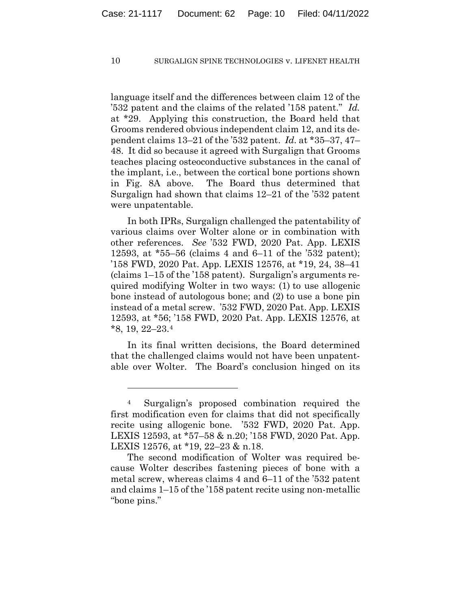language itself and the differences between claim 12 of the '532 patent and the claims of the related '158 patent." *Id.* at \*29. Applying this construction, the Board held that Grooms rendered obvious independent claim 12, and its dependent claims 13–21 of the '532 patent. *Id.* at \*35–37, 47– 48. It did so because it agreed with Surgalign that Grooms teaches placing osteoconductive substances in the canal of the implant, i.e., between the cortical bone portions shown in Fig. 8A above. The Board thus determined that Surgalign had shown that claims 12–21 of the '532 patent were unpatentable.

In both IPRs, Surgalign challenged the patentability of various claims over Wolter alone or in combination with other references. *See* '532 FWD, 2020 Pat. App. LEXIS 12593, at \*55–56 (claims 4 and 6–11 of the '532 patent); '158 FWD, 2020 Pat. App. LEXIS 12576, at \*19, 24, 38–41 (claims 1–15 of the '158 patent). Surgalign's arguments required modifying Wolter in two ways: (1) to use allogenic bone instead of autologous bone; and (2) to use a bone pin instead of a metal screw. '532 FWD, 2020 Pat. App. LEXIS 12593, at \*56; '158 FWD, 2020 Pat. App. LEXIS 12576, at \*8, 19, 22–23.4

In its final written decisions, the Board determined that the challenged claims would not have been unpatentable over Wolter. The Board's conclusion hinged on its

<sup>4</sup> Surgalign's proposed combination required the first modification even for claims that did not specifically recite using allogenic bone. '532 FWD, 2020 Pat. App. LEXIS 12593, at \*57–58 & n.20; '158 FWD, 2020 Pat. App. LEXIS 12576, at \*19, 22–23 & n.18.

The second modification of Wolter was required because Wolter describes fastening pieces of bone with a metal screw, whereas claims 4 and 6–11 of the '532 patent and claims 1–15 of the '158 patent recite using non-metallic "bone pins."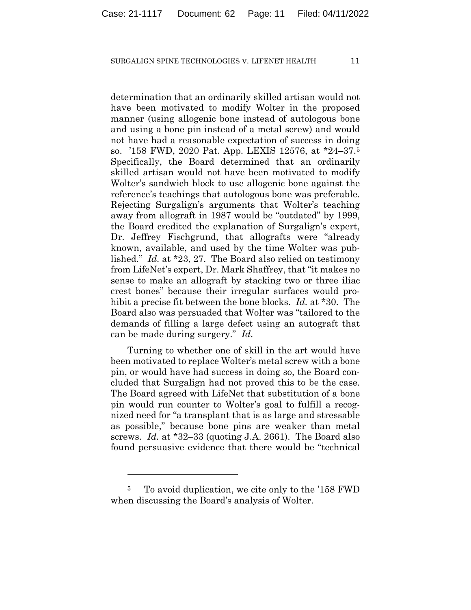determination that an ordinarily skilled artisan would not have been motivated to modify Wolter in the proposed manner (using allogenic bone instead of autologous bone and using a bone pin instead of a metal screw) and would not have had a reasonable expectation of success in doing so. '158 FWD, 2020 Pat. App. LEXIS 12576, at \*24–37.5 Specifically, the Board determined that an ordinarily skilled artisan would not have been motivated to modify Wolter's sandwich block to use allogenic bone against the reference's teachings that autologous bone was preferable. Rejecting Surgalign's arguments that Wolter's teaching away from allograft in 1987 would be "outdated" by 1999, the Board credited the explanation of Surgalign's expert, Dr. Jeffrey Fischgrund, that allografts were "already known, available, and used by the time Wolter was published." *Id.* at \*23, 27. The Board also relied on testimony from LifeNet's expert, Dr. Mark Shaffrey, that "it makes no sense to make an allograft by stacking two or three iliac crest bones" because their irregular surfaces would prohibit a precise fit between the bone blocks. *Id.* at \*30. The Board also was persuaded that Wolter was "tailored to the demands of filling a large defect using an autograft that can be made during surgery." *Id.*

Turning to whether one of skill in the art would have been motivated to replace Wolter's metal screw with a bone pin, or would have had success in doing so, the Board concluded that Surgalign had not proved this to be the case. The Board agreed with LifeNet that substitution of a bone pin would run counter to Wolter's goal to fulfill a recognized need for "a transplant that is as large and stressable as possible," because bone pins are weaker than metal screws. *Id.* at \*32–33 (quoting J.A. 2661). The Board also found persuasive evidence that there would be "technical

<sup>5</sup> To avoid duplication, we cite only to the '158 FWD when discussing the Board's analysis of Wolter.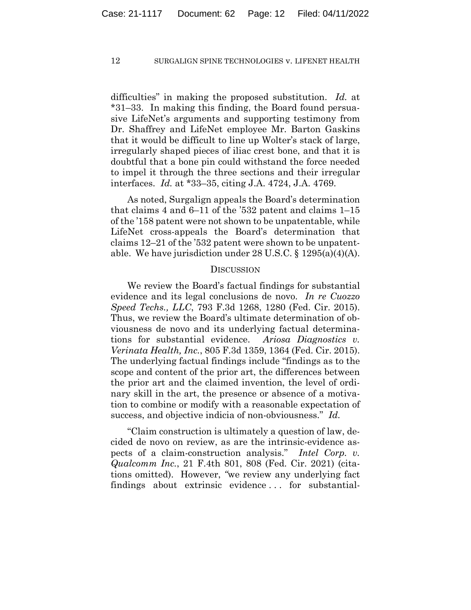difficulties" in making the proposed substitution. *Id.* at \*31–33. In making this finding, the Board found persuasive LifeNet's arguments and supporting testimony from Dr. Shaffrey and LifeNet employee Mr. Barton Gaskins that it would be difficult to line up Wolter's stack of large, irregularly shaped pieces of iliac crest bone, and that it is doubtful that a bone pin could withstand the force needed to impel it through the three sections and their irregular interfaces. *Id.* at \*33–35, citing J.A. 4724, J.A. 4769.

As noted, Surgalign appeals the Board's determination that claims 4 and 6–11 of the '532 patent and claims 1–15 of the '158 patent were not shown to be unpatentable, while LifeNet cross-appeals the Board's determination that claims 12–21 of the '532 patent were shown to be unpatentable. We have jurisdiction under 28 U.S.C. § 1295(a)(4)(A).

#### **DISCUSSION**

We review the Board's factual findings for substantial evidence and its legal conclusions de novo. *In re Cuozzo Speed Techs., LLC*, 793 F.3d 1268, 1280 (Fed. Cir. 2015). Thus, we review the Board's ultimate determination of obviousness de novo and its underlying factual determinations for substantial evidence. *Ariosa Diagnostics v. Verinata Health, Inc.*, 805 F.3d 1359, 1364 (Fed. Cir. 2015). The underlying factual findings include "findings as to the scope and content of the prior art, the differences between the prior art and the claimed invention, the level of ordinary skill in the art, the presence or absence of a motivation to combine or modify with a reasonable expectation of success, and objective indicia of non-obviousness." *Id.*

"Claim construction is ultimately a question of law, decided de novo on review, as are the intrinsic-evidence aspects of a claim-construction analysis." *Intel Corp. v. Qualcomm Inc.*, 21 F.4th 801, 808 (Fed. Cir. 2021) (citations omitted). However, *"*we review any underlying fact findings about extrinsic evidence . . . for substantial-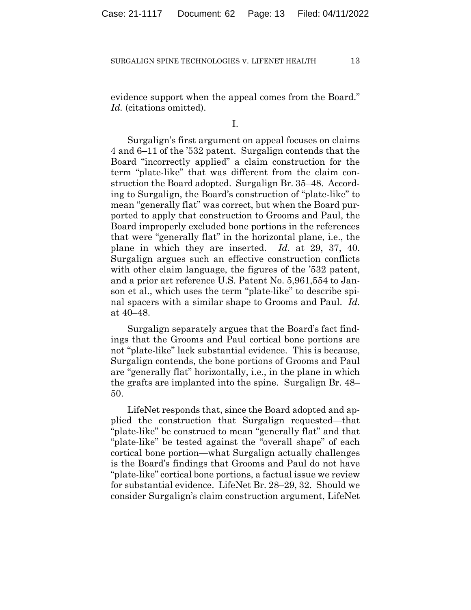evidence support when the appeal comes from the Board." *Id.* (citations omitted).

I.

Surgalign's first argument on appeal focuses on claims 4 and 6–11 of the '532 patent. Surgalign contends that the Board "incorrectly applied" a claim construction for the term "plate-like" that was different from the claim construction the Board adopted. Surgalign Br. 35–48. According to Surgalign, the Board's construction of "plate-like" to mean "generally flat" was correct, but when the Board purported to apply that construction to Grooms and Paul, the Board improperly excluded bone portions in the references that were "generally flat" in the horizontal plane, i.e., the plane in which they are inserted. *Id.* at 29, 37, 40. Surgalign argues such an effective construction conflicts with other claim language, the figures of the '532 patent, and a prior art reference U.S. Patent No. 5,961,554 to Janson et al., which uses the term "plate-like" to describe spinal spacers with a similar shape to Grooms and Paul. *Id.* at 40–48.

Surgalign separately argues that the Board's fact findings that the Grooms and Paul cortical bone portions are not "plate-like" lack substantial evidence. This is because, Surgalign contends, the bone portions of Grooms and Paul are "generally flat" horizontally, i.e., in the plane in which the grafts are implanted into the spine. Surgalign Br. 48– 50.

LifeNet responds that, since the Board adopted and applied the construction that Surgalign requested—that "plate-like" be construed to mean "generally flat" and that "plate-like" be tested against the "overall shape" of each cortical bone portion—what Surgalign actually challenges is the Board's findings that Grooms and Paul do not have "plate-like" cortical bone portions, a factual issue we review for substantial evidence. LifeNet Br. 28–29, 32. Should we consider Surgalign's claim construction argument, LifeNet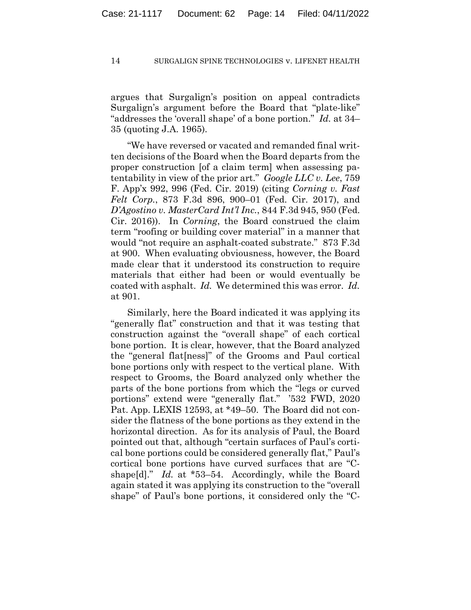argues that Surgalign's position on appeal contradicts Surgalign's argument before the Board that "plate-like" "addresses the 'overall shape' of a bone portion." *Id.* at 34– 35 (quoting J.A. 1965).

"We have reversed or vacated and remanded final written decisions of the Board when the Board departs from the proper construction [of a claim term] when assessing patentability in view of the prior art." *Google LLC v. Lee*, 759 F. App'x 992, 996 (Fed. Cir. 2019) (citing *Corning v. Fast Felt Corp.*, 873 F.3d 896, 900–01 (Fed. Cir. 2017), and *D'Agostino v. MasterCard Int'l Inc.*, 844 F.3d 945, 950 (Fed. Cir. 2016)). In *Corning*, the Board construed the claim term "roofing or building cover material" in a manner that would "not require an asphalt-coated substrate." 873 F.3d at 900. When evaluating obviousness, however, the Board made clear that it understood its construction to require materials that either had been or would eventually be coated with asphalt. *Id.* We determined this was error. *Id.* at 901.

Similarly, here the Board indicated it was applying its "generally flat" construction and that it was testing that construction against the "overall shape" of each cortical bone portion. It is clear, however, that the Board analyzed the "general flat[ness]" of the Grooms and Paul cortical bone portions only with respect to the vertical plane. With respect to Grooms, the Board analyzed only whether the parts of the bone portions from which the "legs or curved portions" extend were "generally flat." '532 FWD, 2020 Pat. App. LEXIS 12593, at \*49–50. The Board did not consider the flatness of the bone portions as they extend in the horizontal direction. As for its analysis of Paul, the Board pointed out that, although "certain surfaces of Paul's cortical bone portions could be considered generally flat," Paul's cortical bone portions have curved surfaces that are "Cshape<sup>[d]</sup>." *Id.* at \*53–54. Accordingly, while the Board again stated it was applying its construction to the "overall shape" of Paul's bone portions, it considered only the "C-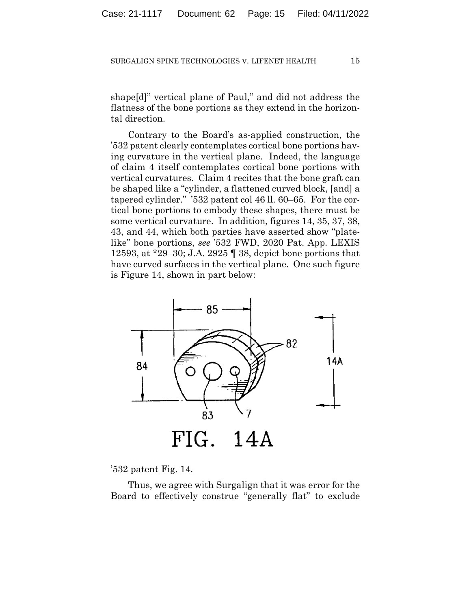shape[d]" vertical plane of Paul," and did not address the flatness of the bone portions as they extend in the horizontal direction.

Contrary to the Board's as-applied construction, the '532 patent clearly contemplates cortical bone portions having curvature in the vertical plane. Indeed, the language of claim 4 itself contemplates cortical bone portions with vertical curvatures. Claim 4 recites that the bone graft can be shaped like a "cylinder, a flattened curved block, [and] a tapered cylinder." '532 patent col 46 ll. 60–65. For the cortical bone portions to embody these shapes, there must be some vertical curvature. In addition, figures 14, 35, 37, 38, 43, and 44, which both parties have asserted show "platelike" bone portions, *see* '532 FWD, 2020 Pat. App. LEXIS 12593, at \*29–30; J.A. 2925 ¶ 38, depict bone portions that have curved surfaces in the vertical plane. One such figure is Figure 14, shown in part below:



'532 patent Fig. 14.

Thus, we agree with Surgalign that it was error for the Board to effectively construe "generally flat" to exclude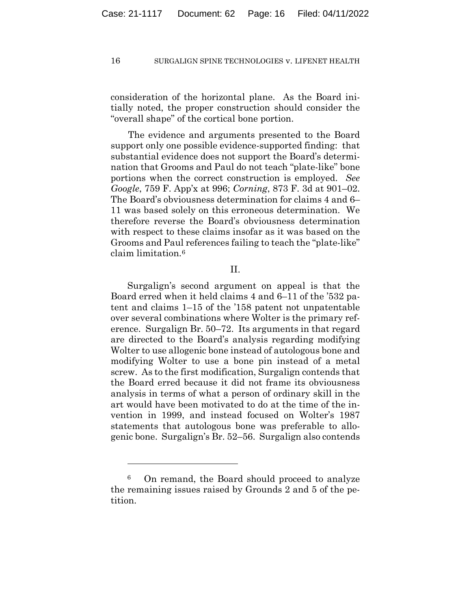consideration of the horizontal plane. As the Board initially noted, the proper construction should consider the "overall shape" of the cortical bone portion.

The evidence and arguments presented to the Board support only one possible evidence-supported finding: that substantial evidence does not support the Board's determination that Grooms and Paul do not teach "plate-like" bone portions when the correct construction is employed. *See Google*, 759 F. App'x at 996; *Corning*, 873 F. 3d at 901–02. The Board's obviousness determination for claims 4 and 6– 11 was based solely on this erroneous determination. We therefore reverse the Board's obviousness determination with respect to these claims insofar as it was based on the Grooms and Paul references failing to teach the "plate-like" claim limitation.6

## II.

Surgalign's second argument on appeal is that the Board erred when it held claims 4 and 6–11 of the '532 patent and claims 1–15 of the '158 patent not unpatentable over several combinations where Wolter is the primary reference. Surgalign Br. 50–72. Its arguments in that regard are directed to the Board's analysis regarding modifying Wolter to use allogenic bone instead of autologous bone and modifying Wolter to use a bone pin instead of a metal screw. As to the first modification, Surgalign contends that the Board erred because it did not frame its obviousness analysis in terms of what a person of ordinary skill in the art would have been motivated to do at the time of the invention in 1999, and instead focused on Wolter's 1987 statements that autologous bone was preferable to allogenic bone. Surgalign's Br. 52–56. Surgalign also contends

<sup>6</sup> On remand, the Board should proceed to analyze the remaining issues raised by Grounds 2 and 5 of the petition.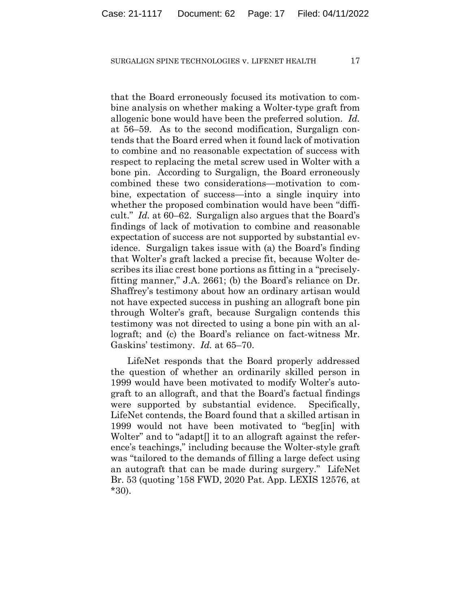that the Board erroneously focused its motivation to combine analysis on whether making a Wolter-type graft from allogenic bone would have been the preferred solution. *Id.* at 56–59. As to the second modification, Surgalign contends that the Board erred when it found lack of motivation to combine and no reasonable expectation of success with respect to replacing the metal screw used in Wolter with a bone pin. According to Surgalign, the Board erroneously combined these two considerations—motivation to combine, expectation of success—into a single inquiry into whether the proposed combination would have been "difficult." *Id.* at 60–62. Surgalign also argues that the Board's findings of lack of motivation to combine and reasonable expectation of success are not supported by substantial evidence. Surgalign takes issue with (a) the Board's finding that Wolter's graft lacked a precise fit, because Wolter describes its iliac crest bone portions as fitting in a "preciselyfitting manner," J.A. 2661; (b) the Board's reliance on Dr. Shaffrey's testimony about how an ordinary artisan would not have expected success in pushing an allograft bone pin through Wolter's graft, because Surgalign contends this testimony was not directed to using a bone pin with an allograft; and (c) the Board's reliance on fact-witness Mr. Gaskins' testimony. *Id.* at 65–70.

LifeNet responds that the Board properly addressed the question of whether an ordinarily skilled person in 1999 would have been motivated to modify Wolter's autograft to an allograft, and that the Board's factual findings were supported by substantial evidence. Specifically, LifeNet contends, the Board found that a skilled artisan in 1999 would not have been motivated to "beg[in] with Wolter" and to "adapt<sup>[]</sup> it to an allograft against the reference's teachings," including because the Wolter-style graft was "tailored to the demands of filling a large defect using an autograft that can be made during surgery." LifeNet Br. 53 (quoting '158 FWD, 2020 Pat. App. LEXIS 12576, at \*30).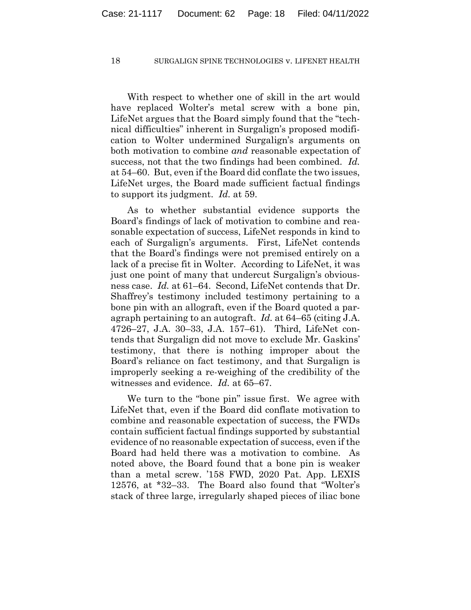With respect to whether one of skill in the art would have replaced Wolter's metal screw with a bone pin, LifeNet argues that the Board simply found that the "technical difficulties" inherent in Surgalign's proposed modification to Wolter undermined Surgalign's arguments on both motivation to combine *and* reasonable expectation of success, not that the two findings had been combined. *Id.* at 54–60. But, even if the Board did conflate the two issues, LifeNet urges, the Board made sufficient factual findings to support its judgment. *Id.* at 59.

As to whether substantial evidence supports the Board's findings of lack of motivation to combine and reasonable expectation of success, LifeNet responds in kind to each of Surgalign's arguments. First, LifeNet contends that the Board's findings were not premised entirely on a lack of a precise fit in Wolter. According to LifeNet, it was just one point of many that undercut Surgalign's obviousness case. *Id.* at 61–64. Second, LifeNet contends that Dr. Shaffrey's testimony included testimony pertaining to a bone pin with an allograft, even if the Board quoted a paragraph pertaining to an autograft. *Id.* at 64–65 (citing J.A. 4726–27, J.A. 30–33, J.A. 157–61). Third, LifeNet contends that Surgalign did not move to exclude Mr. Gaskins' testimony, that there is nothing improper about the Board's reliance on fact testimony, and that Surgalign is improperly seeking a re-weighing of the credibility of the witnesses and evidence. *Id.* at 65–67.

We turn to the "bone pin" issue first. We agree with LifeNet that, even if the Board did conflate motivation to combine and reasonable expectation of success, the FWDs contain sufficient factual findings supported by substantial evidence of no reasonable expectation of success, even if the Board had held there was a motivation to combine. As noted above, the Board found that a bone pin is weaker than a metal screw. '158 FWD, 2020 Pat. App. LEXIS 12576, at \*32–33. The Board also found that "Wolter's stack of three large, irregularly shaped pieces of iliac bone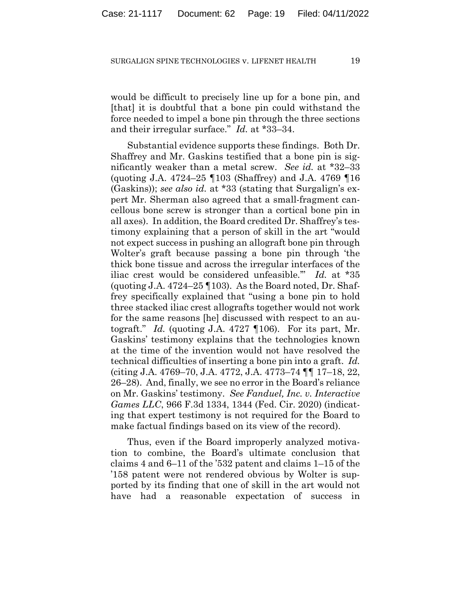would be difficult to precisely line up for a bone pin, and [that] it is doubtful that a bone pin could withstand the force needed to impel a bone pin through the three sections and their irregular surface." *Id.* at \*33–34.

Substantial evidence supports these findings. Both Dr. Shaffrey and Mr. Gaskins testified that a bone pin is significantly weaker than a metal screw. *See id.* at \*32–33 (quoting J.A. 4724–25 ¶103 (Shaffrey) and J.A. 4769 ¶16 (Gaskins)); *see also id.* at \*33 (stating that Surgalign's expert Mr. Sherman also agreed that a small-fragment cancellous bone screw is stronger than a cortical bone pin in all axes). In addition, the Board credited Dr. Shaffrey's testimony explaining that a person of skill in the art "would not expect success in pushing an allograft bone pin through Wolter's graft because passing a bone pin through 'the thick bone tissue and across the irregular interfaces of the iliac crest would be considered unfeasible.'" *Id.* at \*35 (quoting J.A.  $4724-25$  [103). As the Board noted, Dr. Shaffrey specifically explained that "using a bone pin to hold three stacked iliac crest allografts together would not work for the same reasons [he] discussed with respect to an autograft." *Id.* (quoting J.A. 4727 ¶106). For its part, Mr. Gaskins' testimony explains that the technologies known at the time of the invention would not have resolved the technical difficulties of inserting a bone pin into a graft. *Id.* (citing J.A. 4769–70, J.A. 4772, J.A. 4773–74 ¶¶ 17–18, 22, 26–28). And, finally, we see no error in the Board's reliance on Mr. Gaskins' testimony. *See Fanduel, Inc. v. Interactive Games LLC*, 966 F.3d 1334, 1344 (Fed. Cir. 2020) (indicating that expert testimony is not required for the Board to make factual findings based on its view of the record).

Thus, even if the Board improperly analyzed motivation to combine, the Board's ultimate conclusion that claims 4 and 6–11 of the '532 patent and claims 1–15 of the '158 patent were not rendered obvious by Wolter is supported by its finding that one of skill in the art would not have had a reasonable expectation of success in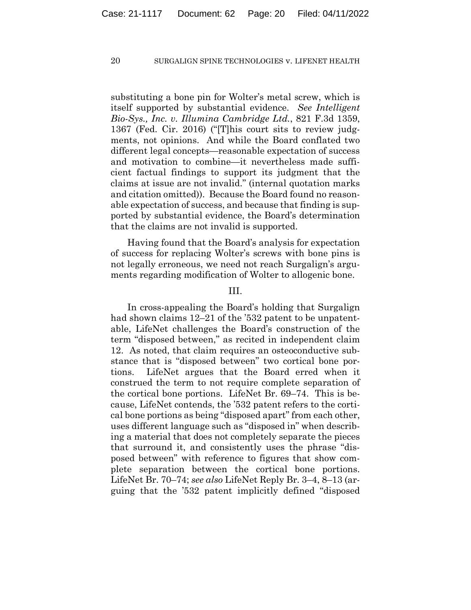substituting a bone pin for Wolter's metal screw, which is itself supported by substantial evidence. *See Intelligent Bio-Sys., Inc. v. Illumina Cambridge Ltd.*, 821 F.3d 1359, 1367 (Fed. Cir. 2016) ("[T]his court sits to review judgments, not opinions. And while the Board conflated two different legal concepts—reasonable expectation of success and motivation to combine—it nevertheless made sufficient factual findings to support its judgment that the claims at issue are not invalid." (internal quotation marks and citation omitted)). Because the Board found no reasonable expectation of success, and because that finding is supported by substantial evidence, the Board's determination that the claims are not invalid is supported.

Having found that the Board's analysis for expectation of success for replacing Wolter's screws with bone pins is not legally erroneous, we need not reach Surgalign's arguments regarding modification of Wolter to allogenic bone.

## III.

In cross-appealing the Board's holding that Surgalign had shown claims 12–21 of the '532 patent to be unpatentable, LifeNet challenges the Board's construction of the term "disposed between," as recited in independent claim 12. As noted, that claim requires an osteoconductive substance that is "disposed between" two cortical bone portions. LifeNet argues that the Board erred when it construed the term to not require complete separation of the cortical bone portions. LifeNet Br. 69–74. This is because, LifeNet contends, the '532 patent refers to the cortical bone portions as being "disposed apart" from each other, uses different language such as "disposed in" when describing a material that does not completely separate the pieces that surround it, and consistently uses the phrase "disposed between" with reference to figures that show complete separation between the cortical bone portions. LifeNet Br. 70–74; *see also* LifeNet Reply Br. 3–4, 8–13 (arguing that the '532 patent implicitly defined "disposed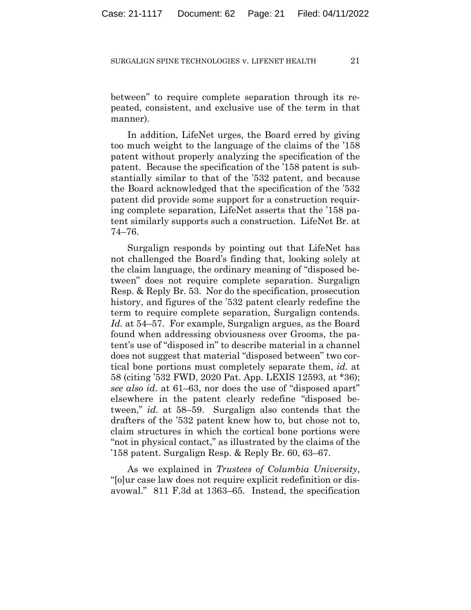between" to require complete separation through its repeated, consistent, and exclusive use of the term in that manner).

In addition, LifeNet urges, the Board erred by giving too much weight to the language of the claims of the '158 patent without properly analyzing the specification of the patent. Because the specification of the '158 patent is substantially similar to that of the '532 patent, and because the Board acknowledged that the specification of the '532 patent did provide some support for a construction requiring complete separation, LifeNet asserts that the '158 patent similarly supports such a construction. LifeNet Br. at 74–76.

Surgalign responds by pointing out that LifeNet has not challenged the Board's finding that, looking solely at the claim language, the ordinary meaning of "disposed between" does not require complete separation. Surgalign Resp. & Reply Br. 53. Nor do the specification, prosecution history, and figures of the '532 patent clearly redefine the term to require complete separation, Surgalign contends. *Id.* at 54–57. For example, Surgalign argues, as the Board found when addressing obviousness over Grooms, the patent's use of "disposed in" to describe material in a channel does not suggest that material "disposed between" two cortical bone portions must completely separate them, *id.* at 58 (citing '532 FWD, 2020 Pat. App. LEXIS 12593, at \*36); *see also id.* at 61–63, nor does the use of "disposed apart" elsewhere in the patent clearly redefine "disposed between," *id.* at 58–59. Surgalign also contends that the drafters of the '532 patent knew how to, but chose not to, claim structures in which the cortical bone portions were "not in physical contact," as illustrated by the claims of the '158 patent. Surgalign Resp. & Reply Br. 60, 63–67.

As we explained in *Trustees of Columbia University*, "[o]ur case law does not require explicit redefinition or disavowal." 811 F.3d at 1363–65. Instead, the specification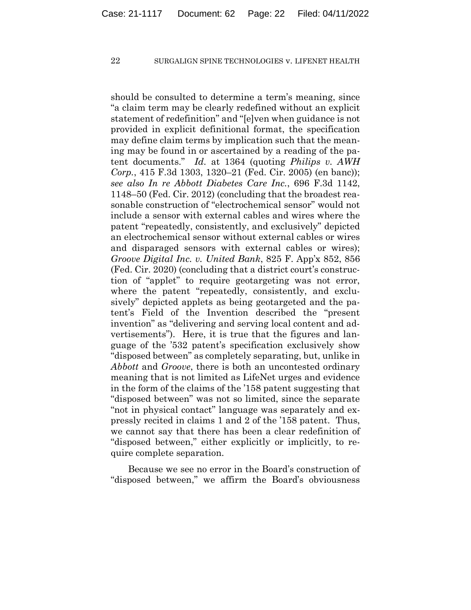should be consulted to determine a term's meaning, since "a claim term may be clearly redefined without an explicit statement of redefinition" and "[e]ven when guidance is not provided in explicit definitional format, the specification may define claim terms by implication such that the meaning may be found in or ascertained by a reading of the patent documents." *Id.* at 1364 (quoting *Philips v. AWH Corp.*, 415 F.3d 1303, 1320–21 (Fed. Cir. 2005) (en banc)); *see also In re Abbott Diabetes Care Inc.*, 696 F.3d 1142, 1148–50 (Fed. Cir. 2012) (concluding that the broadest reasonable construction of "electrochemical sensor" would not include a sensor with external cables and wires where the patent "repeatedly, consistently, and exclusively" depicted an electrochemical sensor without external cables or wires and disparaged sensors with external cables or wires); *Groove Digital Inc. v. United Bank*, 825 F. App'x 852, 856 (Fed. Cir. 2020) (concluding that a district court's construction of "applet" to require geotargeting was not error, where the patent "repeatedly, consistently, and exclusively" depicted applets as being geotargeted and the patent's Field of the Invention described the "present invention" as "delivering and serving local content and advertisements"). Here, it is true that the figures and language of the '532 patent's specification exclusively show "disposed between" as completely separating, but, unlike in *Abbott* and *Groove*, there is both an uncontested ordinary meaning that is not limited as LifeNet urges and evidence in the form of the claims of the '158 patent suggesting that "disposed between" was not so limited, since the separate "not in physical contact" language was separately and expressly recited in claims 1 and 2 of the '158 patent. Thus, we cannot say that there has been a clear redefinition of "disposed between," either explicitly or implicitly, to require complete separation.

Because we see no error in the Board's construction of "disposed between," we affirm the Board's obviousness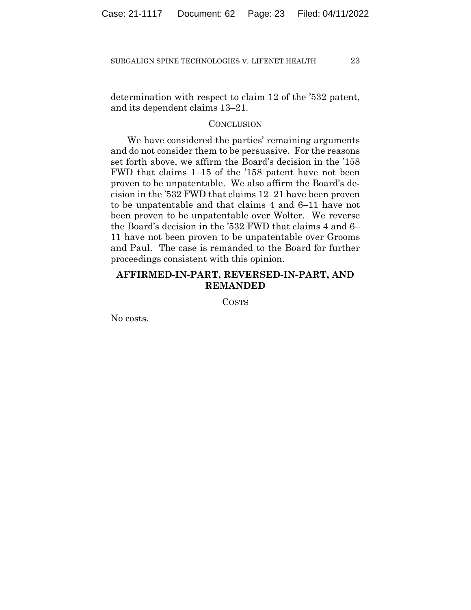determination with respect to claim 12 of the '532 patent, and its dependent claims 13–21.

## **CONCLUSION**

We have considered the parties' remaining arguments and do not consider them to be persuasive. For the reasons set forth above, we affirm the Board's decision in the '158 FWD that claims 1–15 of the '158 patent have not been proven to be unpatentable. We also affirm the Board's decision in the '532 FWD that claims 12–21 have been proven to be unpatentable and that claims 4 and 6–11 have not been proven to be unpatentable over Wolter. We reverse the Board's decision in the '532 FWD that claims 4 and 6– 11 have not been proven to be unpatentable over Grooms and Paul. The case is remanded to the Board for further proceedings consistent with this opinion.

# **AFFIRMED-IN-PART, REVERSED-IN-PART, AND REMANDED**

COSTS

No costs.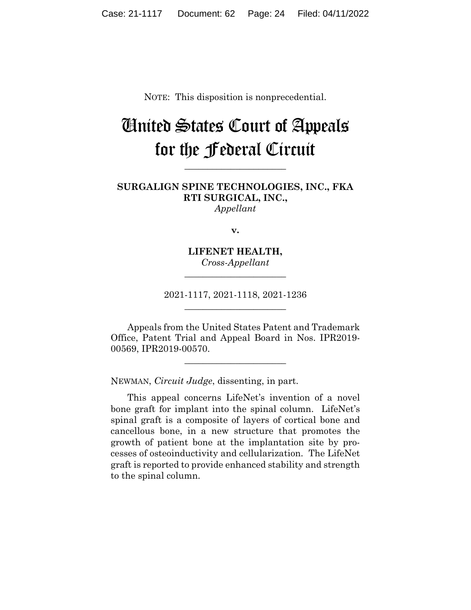NOTE: This disposition is nonprecedential.

# United States Court of Appeals for the Federal Circuit

**\_\_\_\_\_\_\_\_\_\_\_\_\_\_\_\_\_\_\_\_\_\_** 

**SURGALIGN SPINE TECHNOLOGIES, INC., FKA RTI SURGICAL, INC.,** *Appellant*

**v.**

**LIFENET HEALTH,** *Cross-Appellant* **\_\_\_\_\_\_\_\_\_\_\_\_\_\_\_\_\_\_\_\_\_\_** 

2021-1117, 2021-1118, 2021-1236 **\_\_\_\_\_\_\_\_\_\_\_\_\_\_\_\_\_\_\_\_\_\_** 

Appeals from the United States Patent and Trademark Office, Patent Trial and Appeal Board in Nos. IPR2019- 00569, IPR2019-00570.

\_\_\_\_\_\_\_\_\_\_\_\_\_\_\_\_\_\_\_\_\_\_

NEWMAN, *Circuit Judge*, dissenting, in part.

This appeal concerns LifeNet's invention of a novel bone graft for implant into the spinal column. LifeNet's spinal graft is a composite of layers of cortical bone and cancellous bone, in a new structure that promotes the growth of patient bone at the implantation site by processes of osteoinductivity and cellularization. The LifeNet graft is reported to provide enhanced stability and strength to the spinal column.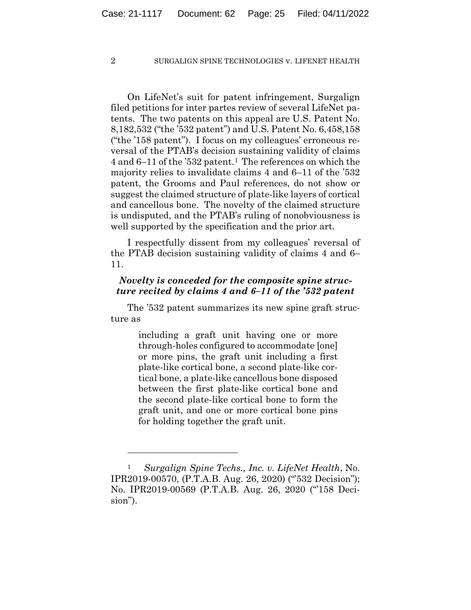On LifeNet's suit for patent infringement, Surgalign filed petitions for inter partes review of several LifeNet patents. The two patents on this appeal are U.S. Patent No. 8,182,532 ("the '532 patent") and U.S. Patent No. 6,458,158 ("the '158 patent"). I focus on my colleagues' erroneous reversal of the PTAB's decision sustaining validity of claims 4 and 6–11 of the '532 patent.1 The references on which the majority relies to invalidate claims 4 and 6–11 of the '532 patent, the Grooms and Paul references, do not show or suggest the claimed structure of plate-like layers of cortical and cancellous bone. The novelty of the claimed structure is undisputed, and the PTAB's ruling of nonobviousness is well supported by the specification and the prior art.

I respectfully dissent from my colleagues' reversal of the PTAB decision sustaining validity of claims 4 and 6– 11.

# *Novelty is conceded for the composite spine structure recited by claims 4 and 6–11 of the '532 patent*

The '532 patent summarizes its new spine graft structure as

> including a graft unit having one or more through-holes configured to accommodate [one] or more pins, the graft unit including a first plate-like cortical bone, a second plate-like cortical bone, a plate-like cancellous bone disposed between the first plate-like cortical bone and the second plate-like cortical bone to form the graft unit, and one or more cortical bone pins for holding together the graft unit.

<sup>1</sup> *Surgalign Spine Techs., Inc. v. LifeNet Health*, No. IPR2019-00570, (P.T.A.B. Aug. 26, 2020) ("'532 Decision"); No. IPR2019-00569 (P.T.A.B. Aug. 26, 2020 ("'158 Decision").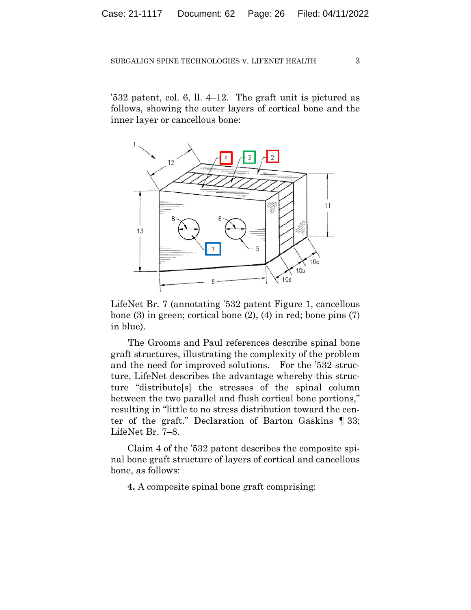'532 patent, col. 6, ll. 4–12. The graft unit is pictured as follows, showing the outer layers of cortical bone and the inner layer or cancellous bone:



LifeNet Br. 7 (annotating '532 patent Figure 1, cancellous bone  $(3)$  in green; cortical bone  $(2)$ ,  $(4)$  in red; bone pins  $(7)$ in blue).

The Grooms and Paul references describe spinal bone graft structures, illustrating the complexity of the problem and the need for improved solutions. For the '532 structure, LifeNet describes the advantage whereby this structure "distribute[s] the stresses of the spinal column between the two parallel and flush cortical bone portions," resulting in "little to no stress distribution toward the center of the graft." Declaration of Barton Gaskins ¶ 33; LifeNet Br. 7–8.

Claim 4 of the '532 patent describes the composite spinal bone graft structure of layers of cortical and cancellous bone, as follows:

**4.** A composite spinal bone graft comprising: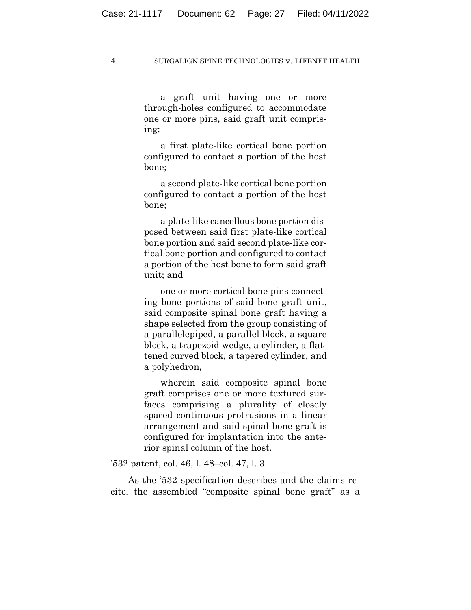a graft unit having one or more through-holes configured to accommodate one or more pins, said graft unit comprising:

a first plate-like cortical bone portion configured to contact a portion of the host bone;

a second plate-like cortical bone portion configured to contact a portion of the host bone;

a plate-like cancellous bone portion disposed between said first plate-like cortical bone portion and said second plate-like cortical bone portion and configured to contact a portion of the host bone to form said graft unit; and

one or more cortical bone pins connecting bone portions of said bone graft unit, said composite spinal bone graft having a shape selected from the group consisting of a parallelepiped, a parallel block, a square block, a trapezoid wedge, a cylinder, a flattened curved block, a tapered cylinder, and a polyhedron,

wherein said composite spinal bone graft comprises one or more textured surfaces comprising a plurality of closely spaced continuous protrusions in a linear arrangement and said spinal bone graft is configured for implantation into the anterior spinal column of the host.

'532 patent, col. 46, l. 48–col. 47, l. 3.

As the '532 specification describes and the claims recite, the assembled "composite spinal bone graft" as a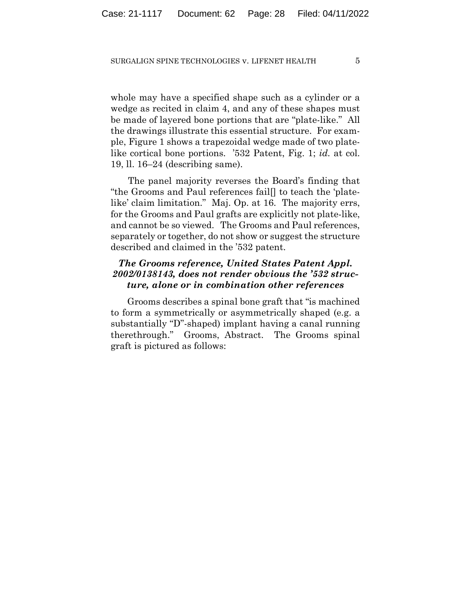whole may have a specified shape such as a cylinder or a wedge as recited in claim 4, and any of these shapes must be made of layered bone portions that are "plate-like." All the drawings illustrate this essential structure. For example, Figure 1 shows a trapezoidal wedge made of two platelike cortical bone portions. '532 Patent, Fig. 1; *id.* at col. 19, ll. 16–24 (describing same).

The panel majority reverses the Board's finding that "the Grooms and Paul references fail[] to teach the 'platelike' claim limitation." Maj. Op. at 16. The majority errs, for the Grooms and Paul grafts are explicitly not plate-like, and cannot be so viewed. The Grooms and Paul references, separately or together, do not show or suggest the structure described and claimed in the '532 patent.

# *The Grooms reference, United States Patent Appl. 2002/0138143, does not render obvious the '532 structure, alone or in combination other references*

Grooms describes a spinal bone graft that "is machined to form a symmetrically or asymmetrically shaped (e.g. a substantially "D"-shaped) implant having a canal running therethrough." Grooms, Abstract. The Grooms spinal graft is pictured as follows: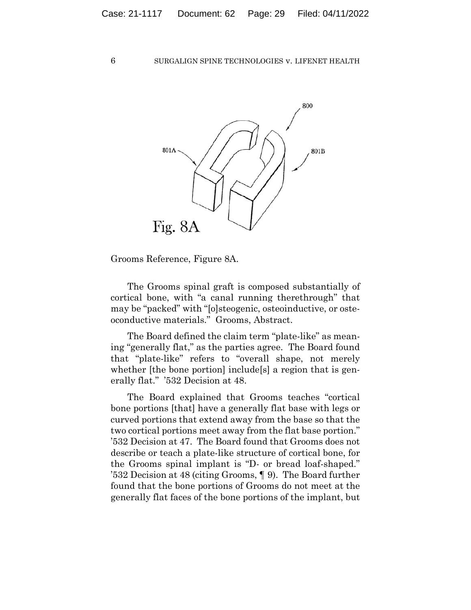

Grooms Reference, Figure 8A.

 The Grooms spinal graft is composed substantially of cortical bone, with "a canal running therethrough" that may be "packed" with "[o]steogenic, osteoinductive, or osteoconductive materials." Grooms, Abstract.

The Board defined the claim term "plate-like" as meaning "generally flat," as the parties agree. The Board found that "plate-like" refers to "overall shape, not merely whether [the bone portion] include<sup>[s]</sup> a region that is generally flat." '532 Decision at 48.

The Board explained that Grooms teaches "cortical bone portions [that] have a generally flat base with legs or curved portions that extend away from the base so that the two cortical portions meet away from the flat base portion." '532 Decision at 47. The Board found that Grooms does not describe or teach a plate-like structure of cortical bone, for the Grooms spinal implant is "D- or bread loaf-shaped." '532 Decision at 48 (citing Grooms, ¶ 9). The Board further found that the bone portions of Grooms do not meet at the generally flat faces of the bone portions of the implant, but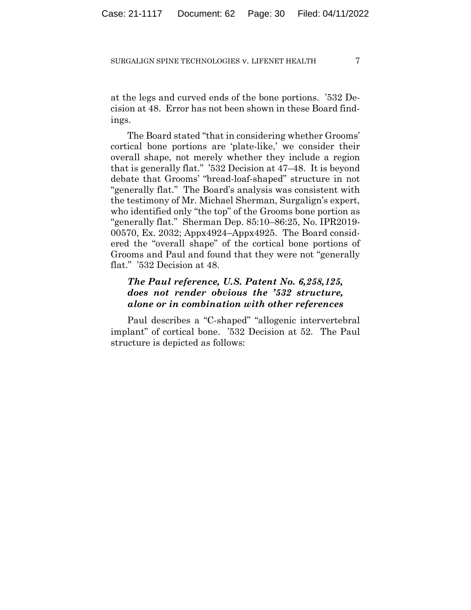at the legs and curved ends of the bone portions. '532 Decision at 48. Error has not been shown in these Board findings.

The Board stated "that in considering whether Grooms' cortical bone portions are 'plate-like,' we consider their overall shape, not merely whether they include a region that is generally flat." '532 Decision at 47–48. It is beyond debate that Grooms' "bread-loaf-shaped" structure in not "generally flat." The Board's analysis was consistent with the testimony of Mr. Michael Sherman, Surgalign's expert, who identified only "the top" of the Grooms bone portion as "generally flat." Sherman Dep. 85:10–86:25, No. IPR2019- 00570, Ex. 2032; Appx4924–Appx4925. The Board considered the "overall shape" of the cortical bone portions of Grooms and Paul and found that they were not "generally flat." '532 Decision at 48.

# *The Paul reference, U.S. Patent No. 6,258,125, does not render obvious the '532 structure, alone or in combination with other references*

Paul describes a "C-shaped" "allogenic intervertebral implant" of cortical bone. '532 Decision at 52. The Paul structure is depicted as follows: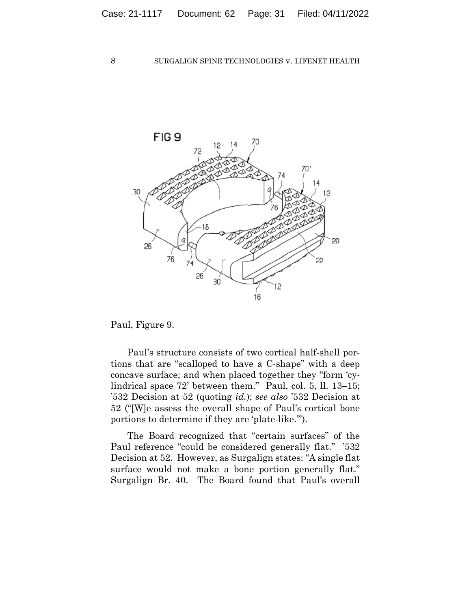

Paul, Figure 9.

Paul's structure consists of two cortical half-shell portions that are "scalloped to have a C-shape" with a deep concave surface; and when placed together they "form 'cylindrical space 72' between them." Paul, col. 5, ll. 13–15; '532 Decision at 52 (quoting *id.*); *see also* '532 Decision at 52 ("[W]e assess the overall shape of Paul's cortical bone portions to determine if they are 'plate-like.'").

The Board recognized that "certain surfaces" of the Paul reference "could be considered generally flat." '532 Decision at 52. However, as Surgalign states: "A single flat surface would not make a bone portion generally flat." Surgalign Br. 40. The Board found that Paul's overall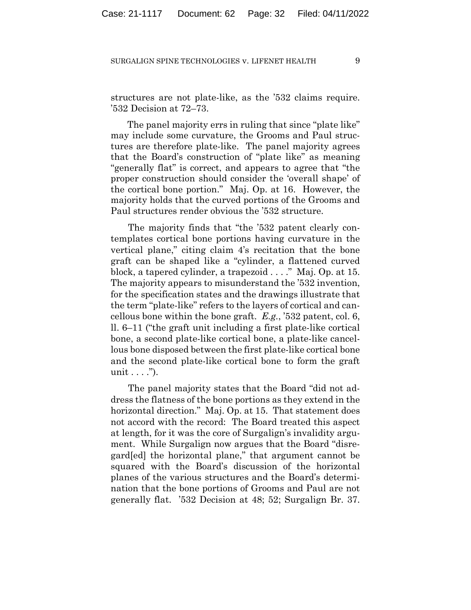structures are not plate-like, as the '532 claims require. '532 Decision at 72–73.

The panel majority errs in ruling that since "plate like" may include some curvature, the Grooms and Paul structures are therefore plate-like. The panel majority agrees that the Board's construction of "plate like" as meaning "generally flat" is correct, and appears to agree that "the proper construction should consider the 'overall shape' of the cortical bone portion." Maj. Op. at 16. However, the majority holds that the curved portions of the Grooms and Paul structures render obvious the '532 structure.

The majority finds that "the '532 patent clearly contemplates cortical bone portions having curvature in the vertical plane," citing claim 4's recitation that the bone graft can be shaped like a "cylinder, a flattened curved block, a tapered cylinder, a trapezoid . . . ." Maj. Op. at 15. The majority appears to misunderstand the '532 invention, for the specification states and the drawings illustrate that the term "plate-like" refers to the layers of cortical and cancellous bone within the bone graft. *E.g.*, '532 patent, col. 6, ll. 6–11 ("the graft unit including a first plate-like cortical bone, a second plate-like cortical bone, a plate-like cancellous bone disposed between the first plate-like cortical bone and the second plate-like cortical bone to form the graft unit  $\dots$ ").

The panel majority states that the Board "did not address the flatness of the bone portions as they extend in the horizontal direction." Maj. Op. at 15. That statement does not accord with the record: The Board treated this aspect at length, for it was the core of Surgalign's invalidity argument. While Surgalign now argues that the Board "disregard[ed] the horizontal plane," that argument cannot be squared with the Board's discussion of the horizontal planes of the various structures and the Board's determination that the bone portions of Grooms and Paul are not generally flat. '532 Decision at 48; 52; Surgalign Br. 37.